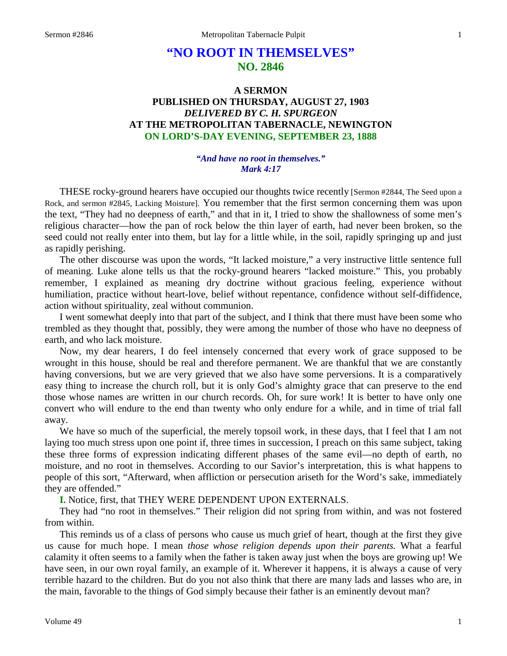# **"NO ROOT IN THEMSELVES" NO. 2846**

## **A SERMON PUBLISHED ON THURSDAY, AUGUST 27, 1903** *DELIVERED BY C. H. SPURGEON* **AT THE METROPOLITAN TABERNACLE, NEWINGTON ON LORD'S-DAY EVENING, SEPTEMBER 23, 1888**

#### *"And have no root in themselves." Mark 4:17*

THESE rocky-ground hearers have occupied our thoughts twice recently [Sermon #2844, The Seed upon a Rock, and sermon #2845, Lacking Moisture]. You remember that the first sermon concerning them was upon the text, "They had no deepness of earth," and that in it, I tried to show the shallowness of some men's religious character—how the pan of rock below the thin layer of earth, had never been broken, so the seed could not really enter into them, but lay for a little while, in the soil, rapidly springing up and just as rapidly perishing.

The other discourse was upon the words, "It lacked moisture," a very instructive little sentence full of meaning. Luke alone tells us that the rocky-ground hearers "lacked moisture." This, you probably remember, I explained as meaning dry doctrine without gracious feeling, experience without humiliation, practice without heart-love, belief without repentance, confidence without self-diffidence, action without spirituality, zeal without communion.

I went somewhat deeply into that part of the subject, and I think that there must have been some who trembled as they thought that, possibly, they were among the number of those who have no deepness of earth, and who lack moisture.

Now, my dear hearers, I do feel intensely concerned that every work of grace supposed to be wrought in this house, should be real and therefore permanent. We are thankful that we are constantly having conversions, but we are very grieved that we also have some perversions. It is a comparatively easy thing to increase the church roll, but it is only God's almighty grace that can preserve to the end those whose names are written in our church records. Oh, for sure work! It is better to have only one convert who will endure to the end than twenty who only endure for a while, and in time of trial fall away.

We have so much of the superficial, the merely topsoil work, in these days, that I feel that I am not laying too much stress upon one point if, three times in succession, I preach on this same subject, taking these three forms of expression indicating different phases of the same evil—no depth of earth, no moisture, and no root in themselves. According to our Savior's interpretation, this is what happens to people of this sort, "Afterward, when affliction or persecution ariseth for the Word's sake, immediately they are offended."

**I.** Notice, first, that THEY WERE DEPENDENT UPON EXTERNALS.

They had "no root in themselves." Their religion did not spring from within, and was not fostered from within.

This reminds us of a class of persons who cause us much grief of heart, though at the first they give us cause for much hope. I mean *those whose religion depends upon their parents.* What a fearful calamity it often seems to a family when the father is taken away just when the boys are growing up! We have seen, in our own royal family, an example of it. Wherever it happens, it is always a cause of very terrible hazard to the children. But do you not also think that there are many lads and lasses who are, in the main, favorable to the things of God simply because their father is an eminently devout man?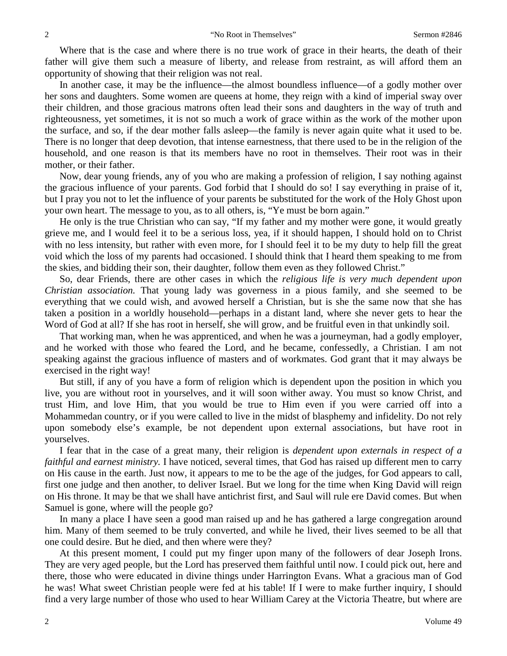Where that is the case and where there is no true work of grace in their hearts, the death of their father will give them such a measure of liberty, and release from restraint, as will afford them an opportunity of showing that their religion was not real.

In another case, it may be the influence—the almost boundless influence—of a godly mother over her sons and daughters. Some women are queens at home, they reign with a kind of imperial sway over their children, and those gracious matrons often lead their sons and daughters in the way of truth and righteousness, yet sometimes, it is not so much a work of grace within as the work of the mother upon the surface, and so, if the dear mother falls asleep—the family is never again quite what it used to be. There is no longer that deep devotion, that intense earnestness, that there used to be in the religion of the household, and one reason is that its members have no root in themselves. Their root was in their mother, or their father.

Now, dear young friends, any of you who are making a profession of religion, I say nothing against the gracious influence of your parents. God forbid that I should do so! I say everything in praise of it, but I pray you not to let the influence of your parents be substituted for the work of the Holy Ghost upon your own heart. The message to you, as to all others, is, "Ye must be born again."

He only is the true Christian who can say, "If my father and my mother were gone, it would greatly grieve me, and I would feel it to be a serious loss, yea, if it should happen, I should hold on to Christ with no less intensity, but rather with even more, for I should feel it to be my duty to help fill the great void which the loss of my parents had occasioned. I should think that I heard them speaking to me from the skies, and bidding their son, their daughter, follow them even as they followed Christ."

So, dear Friends, there are other cases in which the *religious life is very much dependent upon Christian association.* That young lady was governess in a pious family, and she seemed to be everything that we could wish, and avowed herself a Christian, but is she the same now that she has taken a position in a worldly household—perhaps in a distant land, where she never gets to hear the Word of God at all? If she has root in herself, she will grow, and be fruitful even in that unkindly soil.

That working man, when he was apprenticed, and when he was a journeyman, had a godly employer, and he worked with those who feared the Lord, and he became, confessedly, a Christian. I am not speaking against the gracious influence of masters and of workmates. God grant that it may always be exercised in the right way!

But still, if any of you have a form of religion which is dependent upon the position in which you live, you are without root in yourselves, and it will soon wither away. You must so know Christ, and trust Him, and love Him, that you would be true to Him even if you were carried off into a Mohammedan country, or if you were called to live in the midst of blasphemy and infidelity. Do not rely upon somebody else's example, be not dependent upon external associations, but have root in yourselves.

I fear that in the case of a great many, their religion is *dependent upon externals in respect of a faithful and earnest ministry.* I have noticed, several times, that God has raised up different men to carry on His cause in the earth. Just now, it appears to me to be the age of the judges, for God appears to call, first one judge and then another, to deliver Israel. But we long for the time when King David will reign on His throne. It may be that we shall have antichrist first, and Saul will rule ere David comes. But when Samuel is gone, where will the people go?

In many a place I have seen a good man raised up and he has gathered a large congregation around him. Many of them seemed to be truly converted, and while he lived, their lives seemed to be all that one could desire. But he died, and then where were they?

At this present moment, I could put my finger upon many of the followers of dear Joseph Irons. They are very aged people, but the Lord has preserved them faithful until now. I could pick out, here and there, those who were educated in divine things under Harrington Evans. What a gracious man of God he was! What sweet Christian people were fed at his table! If I were to make further inquiry, I should find a very large number of those who used to hear William Carey at the Victoria Theatre, but where are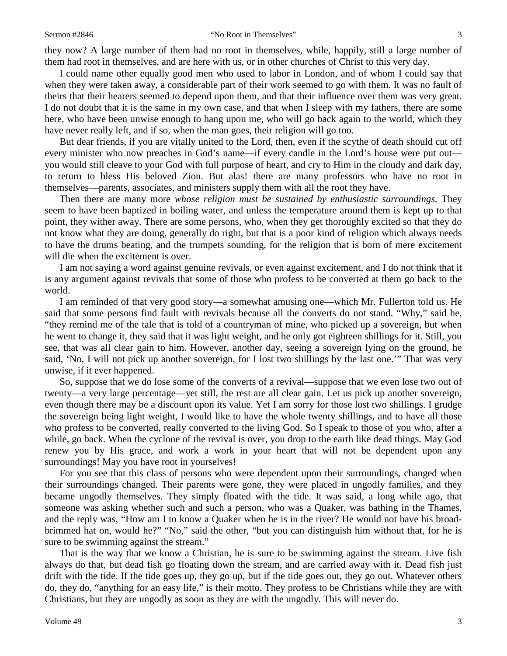they now? A large number of them had no root in themselves, while, happily, still a large number of them had root in themselves, and are here with us, or in other churches of Christ to this very day.

I could name other equally good men who used to labor in London, and of whom I could say that when they were taken away, a considerable part of their work seemed to go with them. It was no fault of theirs that their hearers seemed to depend upon them, and that their influence over them was very great. I do not doubt that it is the same in my own case, and that when I sleep with my fathers, there are some here, who have been unwise enough to hang upon me, who will go back again to the world, which they have never really left, and if so, when the man goes, their religion will go too.

But dear friends, if you are vitally united to the Lord, then, even if the scythe of death should cut off every minister who now preaches in God's name—if every candle in the Lord's house were put out you would still cleave to your God with full purpose of heart, and cry to Him in the cloudy and dark day, to return to bless His beloved Zion. But alas! there are many professors who have no root in themselves—parents, associates, and ministers supply them with all the root they have.

Then there are many more *whose religion must be sustained by enthusiastic surroundings.* They seem to have been baptized in boiling water, and unless the temperature around them is kept up to that point, they wither away. There are some persons, who, when they get thoroughly excited so that they do not know what they are doing, generally do right, but that is a poor kind of religion which always needs to have the drums beating, and the trumpets sounding, for the religion that is born of mere excitement will die when the excitement is over.

I am not saying a word against genuine revivals, or even against excitement, and I do not think that it is any argument against revivals that some of those who profess to be converted at them go back to the world.

I am reminded of that very good story—a somewhat amusing one—which Mr. Fullerton told us. He said that some persons find fault with revivals because all the converts do not stand. "Why," said he, "they remind me of the tale that is told of a countryman of mine, who picked up a sovereign, but when he went to change it, they said that it was light weight, and he only got eighteen shillings for it. Still, you see, that was all clear gain to him. However, another day, seeing a sovereign lying on the ground, he said, 'No, I will not pick up another sovereign, for I lost two shillings by the last one.'" That was very unwise, if it ever happened.

So, suppose that we do lose some of the converts of a revival—suppose that we even lose two out of twenty—a very large percentage—yet still, the rest are all clear gain. Let us pick up another sovereign, even though there may be a discount upon its value. Yet I am sorry for those lost two shillings. I grudge the sovereign being light weight, I would like to have the whole twenty shillings, and to have all those who profess to be converted, really converted to the living God. So I speak to those of you who, after a while, go back. When the cyclone of the revival is over, you drop to the earth like dead things. May God renew you by His grace, and work a work in your heart that will not be dependent upon any surroundings! May you have root in yourselves!

For you see that this class of persons who were dependent upon their surroundings, changed when their surroundings changed. Their parents were gone, they were placed in ungodly families, and they became ungodly themselves. They simply floated with the tide. It was said, a long while ago, that someone was asking whether such and such a person, who was a Quaker, was bathing in the Thames, and the reply was, "How am I to know a Quaker when he is in the river? He would not have his broadbrimmed hat on, would he?" "No," said the other, "but you can distinguish him without that, for he is sure to be swimming against the stream."

That is the way that we know a Christian, he is sure to be swimming against the stream. Live fish always do that, but dead fish go floating down the stream, and are carried away with it. Dead fish just drift with the tide. If the tide goes up, they go up, but if the tide goes out, they go out. Whatever others do, they do, "anything for an easy life," is their motto. They profess to be Christians while they are with Christians, but they are ungodly as soon as they are with the ungodly. This will never do.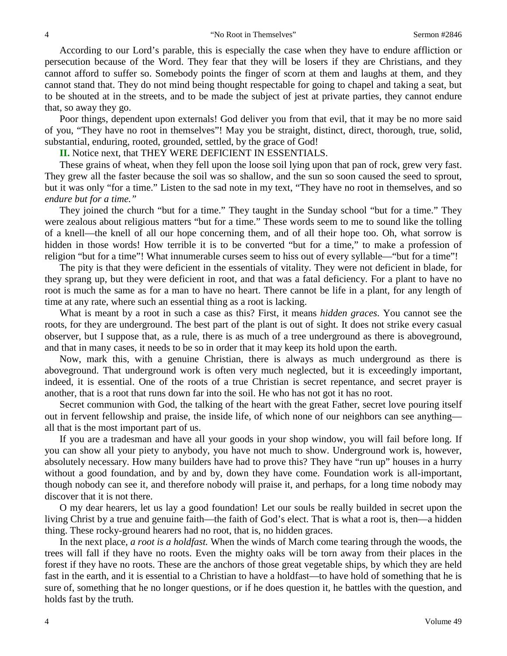According to our Lord's parable, this is especially the case when they have to endure affliction or persecution because of the Word. They fear that they will be losers if they are Christians, and they cannot afford to suffer so. Somebody points the finger of scorn at them and laughs at them, and they cannot stand that. They do not mind being thought respectable for going to chapel and taking a seat, but to be shouted at in the streets, and to be made the subject of jest at private parties, they cannot endure that, so away they go.

Poor things, dependent upon externals! God deliver you from that evil, that it may be no more said of you, "They have no root in themselves"! May you be straight, distinct, direct, thorough, true, solid, substantial, enduring, rooted, grounded, settled, by the grace of God!

**II.** Notice next, that THEY WERE DEFICIENT IN ESSENTIALS.

These grains of wheat, when they fell upon the loose soil lying upon that pan of rock, grew very fast. They grew all the faster because the soil was so shallow, and the sun so soon caused the seed to sprout, but it was only "for a time." Listen to the sad note in my text, "They have no root in themselves, and so *endure but for a time."*

They joined the church "but for a time." They taught in the Sunday school "but for a time." They were zealous about religious matters "but for a time." These words seem to me to sound like the tolling of a knell—the knell of all our hope concerning them, and of all their hope too. Oh, what sorrow is hidden in those words! How terrible it is to be converted "but for a time," to make a profession of religion "but for a time"! What innumerable curses seem to hiss out of every syllable—"but for a time"!

The pity is that they were deficient in the essentials of vitality. They were not deficient in blade, for they sprang up, but they were deficient in root, and that was a fatal deficiency. For a plant to have no root is much the same as for a man to have no heart. There cannot be life in a plant, for any length of time at any rate, where such an essential thing as a root is lacking.

What is meant by a root in such a case as this? First, it means *hidden graces*. You cannot see the roots, for they are underground. The best part of the plant is out of sight. It does not strike every casual observer, but I suppose that, as a rule, there is as much of a tree underground as there is aboveground, and that in many cases, it needs to be so in order that it may keep its hold upon the earth.

Now, mark this, with a genuine Christian, there is always as much underground as there is aboveground. That underground work is often very much neglected, but it is exceedingly important, indeed, it is essential. One of the roots of a true Christian is secret repentance, and secret prayer is another, that is a root that runs down far into the soil. He who has not got it has no root.

Secret communion with God, the talking of the heart with the great Father, secret love pouring itself out in fervent fellowship and praise, the inside life, of which none of our neighbors can see anything all that is the most important part of us.

If you are a tradesman and have all your goods in your shop window, you will fail before long. If you can show all your piety to anybody, you have not much to show. Underground work is, however, absolutely necessary. How many builders have had to prove this? They have "run up" houses in a hurry without a good foundation, and by and by, down they have come. Foundation work is all-important, though nobody can see it, and therefore nobody will praise it, and perhaps, for a long time nobody may discover that it is not there.

O my dear hearers, let us lay a good foundation! Let our souls be really builded in secret upon the living Christ by a true and genuine faith—the faith of God's elect. That is what a root is, then—a hidden thing. These rocky-ground hearers had no root, that is, no hidden graces.

In the next place, *a root is a holdfast.* When the winds of March come tearing through the woods, the trees will fall if they have no roots. Even the mighty oaks will be torn away from their places in the forest if they have no roots. These are the anchors of those great vegetable ships, by which they are held fast in the earth, and it is essential to a Christian to have a holdfast—to have hold of something that he is sure of, something that he no longer questions, or if he does question it, he battles with the question, and holds fast by the truth.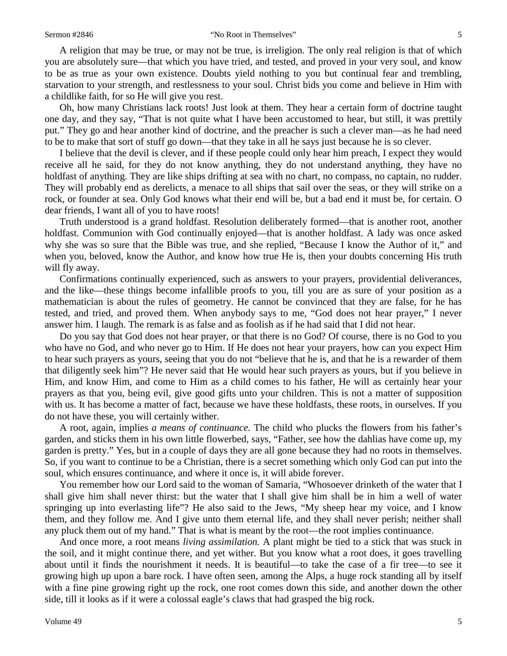A religion that may be true, or may not be true, is irreligion. The only real religion is that of which you are absolutely sure—that which you have tried, and tested, and proved in your very soul, and know to be as true as your own existence. Doubts yield nothing to you but continual fear and trembling, starvation to your strength, and restlessness to your soul. Christ bids you come and believe in Him with a childlike faith, for so He will give you rest.

Oh, how many Christians lack roots! Just look at them. They hear a certain form of doctrine taught one day, and they say, "That is not quite what I have been accustomed to hear, but still, it was prettily put." They go and hear another kind of doctrine, and the preacher is such a clever man—as he had need to be to make that sort of stuff go down—that they take in all he says just because he is so clever.

I believe that the devil is clever, and if these people could only hear him preach, I expect they would receive all he said, for they do not know anything, they do not understand anything, they have no holdfast of anything. They are like ships drifting at sea with no chart, no compass, no captain, no rudder. They will probably end as derelicts, a menace to all ships that sail over the seas, or they will strike on a rock, or founder at sea. Only God knows what their end will be, but a bad end it must be, for certain. O dear friends, I want all of you to have roots!

Truth understood is a grand holdfast. Resolution deliberately formed—that is another root, another holdfast. Communion with God continually enjoyed—that is another holdfast. A lady was once asked why she was so sure that the Bible was true, and she replied, "Because I know the Author of it," and when you, beloved, know the Author, and know how true He is, then your doubts concerning His truth will fly away.

Confirmations continually experienced, such as answers to your prayers, providential deliverances, and the like—these things become infallible proofs to you, till you are as sure of your position as a mathematician is about the rules of geometry. He cannot be convinced that they are false, for he has tested, and tried, and proved them. When anybody says to me, "God does not hear prayer," I never answer him. I laugh. The remark is as false and as foolish as if he had said that I did not hear.

Do you say that God does not hear prayer, or that there is no God? Of course, there is no God to you who have no God, and who never go to Him. If He does not hear your prayers, how can you expect Him to hear such prayers as yours, seeing that you do not "believe that he is, and that he is a rewarder of them that diligently seek him"? He never said that He would hear such prayers as yours, but if you believe in Him, and know Him, and come to Him as a child comes to his father, He will as certainly hear your prayers as that you, being evil, give good gifts unto your children. This is not a matter of supposition with us. It has become a matter of fact, because we have these holdfasts, these roots, in ourselves. If you do not have these, you will certainly wither.

A root, again, implies *a means of continuance.* The child who plucks the flowers from his father's garden, and sticks them in his own little flowerbed, says, "Father, see how the dahlias have come up, my garden is pretty." Yes, but in a couple of days they are all gone because they had no roots in themselves. So, if you want to continue to be a Christian, there is a secret something which only God can put into the soul, which ensures continuance, and where it once is, it will abide forever.

You remember how our Lord said to the woman of Samaria, "Whosoever drinketh of the water that I shall give him shall never thirst: but the water that I shall give him shall be in him a well of water springing up into everlasting life"? He also said to the Jews, "My sheep hear my voice, and I know them, and they follow me. And I give unto them eternal life, and they shall never perish; neither shall any pluck them out of my hand." That is what is meant by the root—the root implies continuance.

And once more, a root means *living assimilation.* A plant might be tied to a stick that was stuck in the soil, and it might continue there, and yet wither. But you know what a root does, it goes travelling about until it finds the nourishment it needs. It is beautiful—to take the case of a fir tree—to see it growing high up upon a bare rock. I have often seen, among the Alps, a huge rock standing all by itself with a fine pine growing right up the rock, one root comes down this side, and another down the other side, till it looks as if it were a colossal eagle's claws that had grasped the big rock.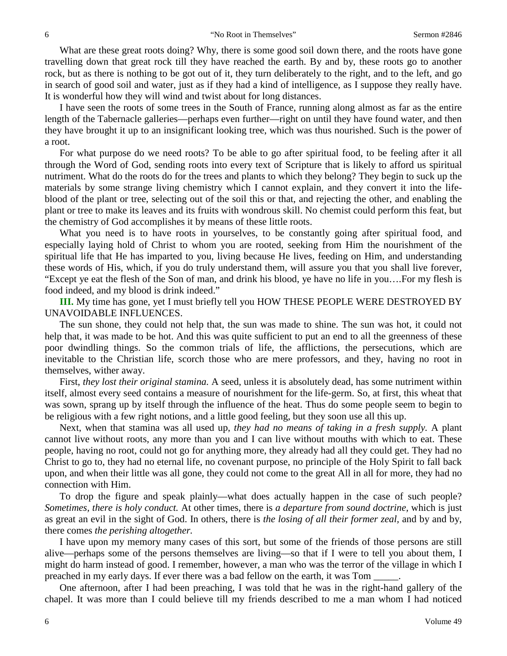What are these great roots doing? Why, there is some good soil down there, and the roots have gone travelling down that great rock till they have reached the earth. By and by, these roots go to another rock, but as there is nothing to be got out of it, they turn deliberately to the right, and to the left, and go in search of good soil and water, just as if they had a kind of intelligence, as I suppose they really have. It is wonderful how they will wind and twist about for long distances.

I have seen the roots of some trees in the South of France, running along almost as far as the entire length of the Tabernacle galleries—perhaps even further—right on until they have found water, and then they have brought it up to an insignificant looking tree, which was thus nourished. Such is the power of a root.

For what purpose do we need roots? To be able to go after spiritual food, to be feeling after it all through the Word of God, sending roots into every text of Scripture that is likely to afford us spiritual nutriment. What do the roots do for the trees and plants to which they belong? They begin to suck up the materials by some strange living chemistry which I cannot explain, and they convert it into the lifeblood of the plant or tree, selecting out of the soil this or that, and rejecting the other, and enabling the plant or tree to make its leaves and its fruits with wondrous skill. No chemist could perform this feat, but the chemistry of God accomplishes it by means of these little roots.

What you need is to have roots in yourselves, to be constantly going after spiritual food, and especially laying hold of Christ to whom you are rooted, seeking from Him the nourishment of the spiritual life that He has imparted to you, living because He lives, feeding on Him, and understanding these words of His, which, if you do truly understand them, will assure you that you shall live forever, "Except ye eat the flesh of the Son of man, and drink his blood, ye have no life in you….For my flesh is food indeed, and my blood is drink indeed."

**III.** My time has gone, yet I must briefly tell you HOW THESE PEOPLE WERE DESTROYED BY UNAVOIDABLE INFLUENCES.

The sun shone, they could not help that, the sun was made to shine. The sun was hot, it could not help that, it was made to be hot. And this was quite sufficient to put an end to all the greenness of these poor dwindling things. So the common trials of life, the afflictions, the persecutions, which are inevitable to the Christian life, scorch those who are mere professors, and they, having no root in themselves, wither away.

First, *they lost their original stamina.* A seed, unless it is absolutely dead, has some nutriment within itself, almost every seed contains a measure of nourishment for the life-germ. So, at first, this wheat that was sown, sprang up by itself through the influence of the heat. Thus do some people seem to begin to be religious with a few right notions, and a little good feeling, but they soon use all this up.

Next, when that stamina was all used up, *they had no means of taking in a fresh supply.* A plant cannot live without roots, any more than you and I can live without mouths with which to eat. These people, having no root, could not go for anything more, they already had all they could get. They had no Christ to go to, they had no eternal life, no covenant purpose, no principle of the Holy Spirit to fall back upon, and when their little was all gone, they could not come to the great All in all for more, they had no connection with Him.

To drop the figure and speak plainly—what does actually happen in the case of such people? *Sometimes, there is holy conduct.* At other times, there is *a departure from sound doctrine,* which is just as great an evil in the sight of God. In others, there is *the losing of all their former zeal,* and by and by, there comes *the perishing altogether.* 

I have upon my memory many cases of this sort, but some of the friends of those persons are still alive—perhaps some of the persons themselves are living—so that if I were to tell you about them, I might do harm instead of good. I remember, however, a man who was the terror of the village in which I preached in my early days. If ever there was a bad fellow on the earth, it was Tom

One afternoon, after I had been preaching, I was told that he was in the right-hand gallery of the chapel. It was more than I could believe till my friends described to me a man whom I had noticed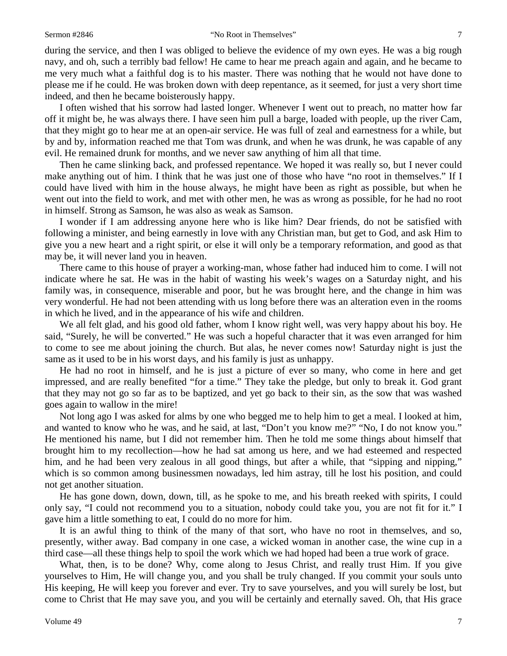#### Sermon #2846 **The Sermon #2846** "No Root in Themselves" 7

during the service, and then I was obliged to believe the evidence of my own eyes. He was a big rough navy, and oh, such a terribly bad fellow! He came to hear me preach again and again, and he became to me very much what a faithful dog is to his master. There was nothing that he would not have done to please me if he could. He was broken down with deep repentance, as it seemed, for just a very short time indeed, and then he became boisterously happy.

I often wished that his sorrow had lasted longer. Whenever I went out to preach, no matter how far off it might be, he was always there. I have seen him pull a barge, loaded with people, up the river Cam, that they might go to hear me at an open-air service. He was full of zeal and earnestness for a while, but by and by, information reached me that Tom was drunk, and when he was drunk, he was capable of any evil. He remained drunk for months, and we never saw anything of him all that time.

Then he came slinking back, and professed repentance. We hoped it was really so, but I never could make anything out of him. I think that he was just one of those who have "no root in themselves." If I could have lived with him in the house always, he might have been as right as possible, but when he went out into the field to work, and met with other men, he was as wrong as possible, for he had no root in himself. Strong as Samson, he was also as weak as Samson.

I wonder if I am addressing anyone here who is like him? Dear friends, do not be satisfied with following a minister, and being earnestly in love with any Christian man, but get to God, and ask Him to give you a new heart and a right spirit, or else it will only be a temporary reformation, and good as that may be, it will never land you in heaven.

There came to this house of prayer a working-man, whose father had induced him to come. I will not indicate where he sat. He was in the habit of wasting his week's wages on a Saturday night, and his family was, in consequence, miserable and poor, but he was brought here, and the change in him was very wonderful. He had not been attending with us long before there was an alteration even in the rooms in which he lived, and in the appearance of his wife and children.

We all felt glad, and his good old father, whom I know right well, was very happy about his boy. He said, "Surely, he will be converted." He was such a hopeful character that it was even arranged for him to come to see me about joining the church. But alas, he never comes now! Saturday night is just the same as it used to be in his worst days, and his family is just as unhappy.

He had no root in himself, and he is just a picture of ever so many, who come in here and get impressed, and are really benefited "for a time." They take the pledge, but only to break it. God grant that they may not go so far as to be baptized, and yet go back to their sin, as the sow that was washed goes again to wallow in the mire!

Not long ago I was asked for alms by one who begged me to help him to get a meal. I looked at him, and wanted to know who he was, and he said, at last, "Don't you know me?" "No, I do not know you." He mentioned his name, but I did not remember him. Then he told me some things about himself that brought him to my recollection—how he had sat among us here, and we had esteemed and respected him, and he had been very zealous in all good things, but after a while, that "sipping and nipping," which is so common among businessmen nowadays, led him astray, till he lost his position, and could not get another situation.

He has gone down, down, down, till, as he spoke to me, and his breath reeked with spirits, I could only say, "I could not recommend you to a situation, nobody could take you, you are not fit for it." I gave him a little something to eat, I could do no more for him.

It is an awful thing to think of the many of that sort, who have no root in themselves, and so, presently, wither away. Bad company in one case, a wicked woman in another case, the wine cup in a third case—all these things help to spoil the work which we had hoped had been a true work of grace.

What, then, is to be done? Why, come along to Jesus Christ, and really trust Him. If you give yourselves to Him, He will change you, and you shall be truly changed. If you commit your souls unto His keeping, He will keep you forever and ever. Try to save yourselves, and you will surely be lost, but come to Christ that He may save you, and you will be certainly and eternally saved. Oh, that His grace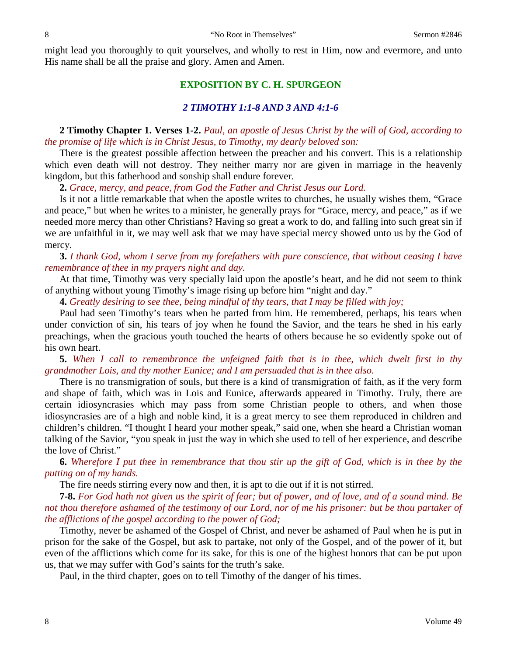might lead you thoroughly to quit yourselves, and wholly to rest in Him, now and evermore, and unto His name shall be all the praise and glory. Amen and Amen.

### **EXPOSITION BY C. H. SPURGEON**

## *2 TIMOTHY 1:1-8 AND 3 AND 4:1-6*

**2 Timothy Chapter 1. Verses 1-2.** *Paul, an apostle of Jesus Christ by the will of God, according to the promise of life which is in Christ Jesus, to Timothy, my dearly beloved son:*

There is the greatest possible affection between the preacher and his convert. This is a relationship which even death will not destroy. They neither marry nor are given in marriage in the heavenly kingdom, but this fatherhood and sonship shall endure forever.

**2.** *Grace, mercy, and peace, from God the Father and Christ Jesus our Lord.*

Is it not a little remarkable that when the apostle writes to churches, he usually wishes them, "Grace and peace," but when he writes to a minister, he generally prays for "Grace, mercy, and peace," as if we needed more mercy than other Christians? Having so great a work to do, and falling into such great sin if we are unfaithful in it, we may well ask that we may have special mercy showed unto us by the God of mercy.

## **3.** *I thank God, whom I serve from my forefathers with pure conscience, that without ceasing I have remembrance of thee in my prayers night and day.*

At that time, Timothy was very specially laid upon the apostle's heart, and he did not seem to think of anything without young Timothy's image rising up before him "night and day."

**4.** *Greatly desiring to see thee, being mindful of thy tears, that I may be filled with joy;*

Paul had seen Timothy's tears when he parted from him. He remembered, perhaps, his tears when under conviction of sin, his tears of joy when he found the Savior, and the tears he shed in his early preachings, when the gracious youth touched the hearts of others because he so evidently spoke out of his own heart.

**5.** *When I call to remembrance the unfeigned faith that is in thee, which dwelt first in thy grandmother Lois, and thy mother Eunice; and I am persuaded that is in thee also.* 

There is no transmigration of souls, but there is a kind of transmigration of faith, as if the very form and shape of faith, which was in Lois and Eunice, afterwards appeared in Timothy. Truly, there are certain idiosyncrasies which may pass from some Christian people to others, and when those idiosyncrasies are of a high and noble kind, it is a great mercy to see them reproduced in children and children's children. "I thought I heard your mother speak," said one, when she heard a Christian woman talking of the Savior, "you speak in just the way in which she used to tell of her experience, and describe the love of Christ."

**6.** *Wherefore I put thee in remembrance that thou stir up the gift of God, which is in thee by the putting on of my hands.*

The fire needs stirring every now and then, it is apt to die out if it is not stirred.

**7-8.** *For God hath not given us the spirit of fear; but of power, and of love, and of a sound mind. Be not thou therefore ashamed of the testimony of our Lord, nor of me his prisoner: but be thou partaker of the afflictions of the gospel according to the power of God;*

Timothy, never be ashamed of the Gospel of Christ, and never be ashamed of Paul when he is put in prison for the sake of the Gospel, but ask to partake, not only of the Gospel, and of the power of it, but even of the afflictions which come for its sake, for this is one of the highest honors that can be put upon us, that we may suffer with God's saints for the truth's sake.

Paul, in the third chapter, goes on to tell Timothy of the danger of his times.